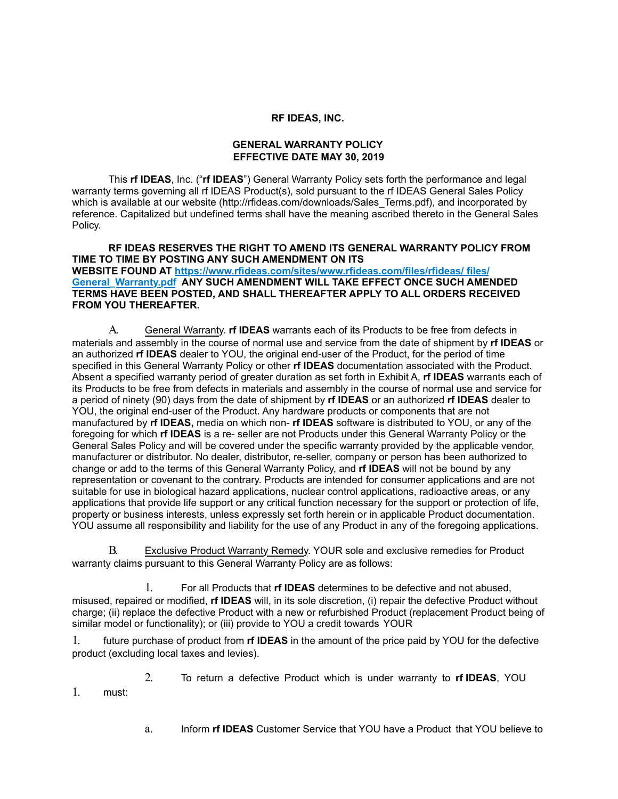### **RF IDEAS, INC.**

## **GENERAL WARRANTY POLICY EFFECTIVE DATE MAY 30, 2019**

This **rf IDEAS**, Inc. ("**rf IDEAS**") General Warranty Policy sets forth the performance and legal warranty terms governing all rf IDEAS Product(s), sold pursuant to the rf IDEAS General Sales Policy which is available at our website [\(http://rfideas.com/downloads/Sales\\_Terms.pdf\),](http://rfideas.com/downloads/Sales_Terms.pdf)) and incorporated by reference. Capitalized but undefined terms shall have the meaning ascribed thereto in the General Sales Policy.

#### **RF IDEAS RESERVES THE RIGHT TO AMEND ITS GENERAL WARRANTY POLICY FROM TIME TO TIME BY POSTING ANY SUCH AMENDMENT ON ITS WEBSITE FOUND AT [https://www.rfideas.com/sites/www.rfideas.com/files/rfideas/ files/](%22ht) [General\\_Warranty.pdf](%22ht) ANY SUCH AMENDMENT WILL TAKE EFFECT ONCE SUCH AMENDED TERMS HAVE BEEN POSTED, AND SHALL THEREAFTER APPLY TO ALL ORDERS RECEIVED FROM YOU THEREAFTER.**

A. General Warranty. **rf IDEAS** warrants each of its Products to be free from defects in materials and assembly in the course of normal use and service from the date of shipment by **rf IDEAS** or an authorized **rf IDEAS** dealer to YOU, the original end-user of the Product, for the period of time specified in this General Warranty Policy or other **rf IDEAS** documentation associated with the Product. Absent a specified warranty period of greater duration as set forth in Exhibit A, **rf IDEAS** warrants each of its Products to be free from defects in materials and assembly in the course of normal use and service for a period of ninety (90) days from the date of shipment by **rf IDEAS** or an authorized **rf IDEAS** dealer to YOU, the original end-user of the Product. Any hardware products or components that are not manufactured by **rf IDEAS,** media on which non- **rf IDEAS** software is distributed to YOU, or any of the foregoing for which **rf IDEAS** is a re- seller are not Products under this General Warranty Policy or the General Sales Policy and will be covered under the specific warranty provided by the applicable vendor, manufacturer or distributor. No dealer, distributor, re-seller, company or person has been authorized to change or add to the terms of this General Warranty Policy, and **rf IDEAS** will not be bound by any representation or covenant to the contrary. Products are intended for consumer applications and are not suitable for use in biological hazard applications, nuclear control applications, radioactive areas, or any applications that provide life support or any critical function necessary for the support or protection of life, property or business interests, unless expressly set forth herein or in applicable Product documentation. YOU assume all responsibility and liability for the use of any Product in any of the foregoing applications.

B. Exclusive Product Warranty Remedy. YOUR sole and exclusive remedies for Product warranty claims pursuant to this General Warranty Policy are as follows:

1. For all Products that **rf IDEAS** determines to be defective and not abused, misused, repaired or modified, **rf IDEAS** will, in its sole discretion, (i) repair the defective Product without charge; (ii) replace the defective Product with a new or refurbished Product (replacement Product being of similar model or functionality); or (iii) provide to YOU a credit towards YOUR

1. future purchase of product from **rf IDEAS** in the amount of the price paid by YOU for the defective product (excluding local taxes and levies).

2. To return a defective Product which is under warranty to **rf IDEAS**, YOU

1. must:

a. Inform **rf IDEAS** Customer Service that YOU have a Product that YOU believe to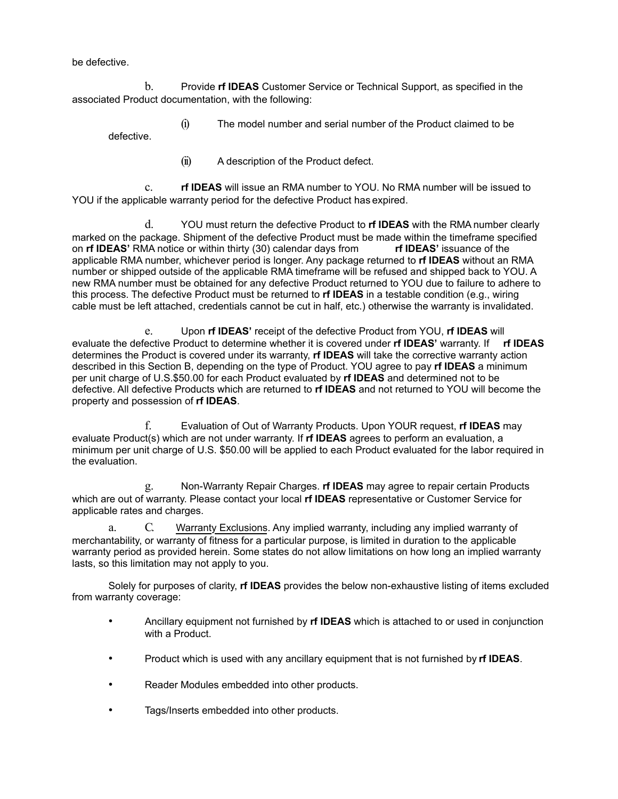be defective.

b. Provide **rf IDEAS** Customer Service or Technical Support, as specified in the associated Product documentation, with the following:

(i) The model number and serial number of the Product claimed to be defective.

(ii) A description of the Product defect.

c. **rf IDEAS** will issue an RMA number to YOU. No RMA number will be issued to YOU if the applicable warranty period for the defective Product has expired.

d. YOU must return the defective Product to **rf IDEAS** with the RMA number clearly marked on the package. Shipment of the defective Product must be made within the timeframe specified<br>on **rf IDEAS'** RMA notice or within thirty (30) calendar days from **rf IDEAS'** issuance of the on **rf IDEAS'** RMA notice or within thirty (30) calendar days from applicable RMA number, whichever period is longer. Any package returned to **rf IDEAS** without an RMA number or shipped outside of the applicable RMA timeframe will be refused and shipped back to YOU. A new RMA number must be obtained for any defective Product returned to YOU due to failure to adhere to this process. The defective Product must be returned to **rf IDEAS** in a testable condition (e.g., wiring cable must be left attached, credentials cannot be cut in half, etc.) otherwise the warranty is invalidated.

e. Upon **rf IDEAS'** receipt of the defective Product from YOU, **rf IDEAS** will evaluate the defective Product to determine whether it is covered under **rf IDEAS'** warranty. If **rf IDEAS** determines the Product is covered under its warranty, **rf IDEAS** will take the corrective warranty action described in this Section B, depending on the type of Product. YOU agree to pay **rf IDEAS** a minimum per unit charge of U.S.\$50.00 for each Product evaluated by **rf IDEAS** and determined not to be defective. All defective Products which are returned to **rf IDEAS** and not returned to YOU will become the property and possession of **rf IDEAS**.

f. Evaluation of Out of Warranty Products. Upon YOUR request, **rf IDEAS** may evaluate Product(s) which are not under warranty. If **rf IDEAS** agrees to perform an evaluation, a minimum per unit charge of U.S. \$50.00 will be applied to each Product evaluated for the labor required in the evaluation.

g. Non-Warranty Repair Charges. **rf IDEAS** may agree to repair certain Products which are out of warranty. Please contact your local **rf IDEAS** representative or Customer Service for applicable rates and charges.

a. C. Warranty Exclusions. Any implied warranty, including any implied warranty of merchantability, or warranty of fitness for a particular purpose, is limited in duration to the applicable warranty period as provided herein. Some states do not allow limitations on how long an implied warranty lasts, so this limitation may not apply to you.

Solely for purposes of clarity, **rf IDEAS** provides the below non-exhaustive listing of items excluded from warranty coverage:

- Ancillary equipment not furnished by **rf IDEAS** which is attached to or used in conjunction with a Product.
- Product which is used with any ancillary equipment that is not furnished by **rf IDEAS**.
- Reader Modules embedded into other products.
- Tags/Inserts embedded into other products.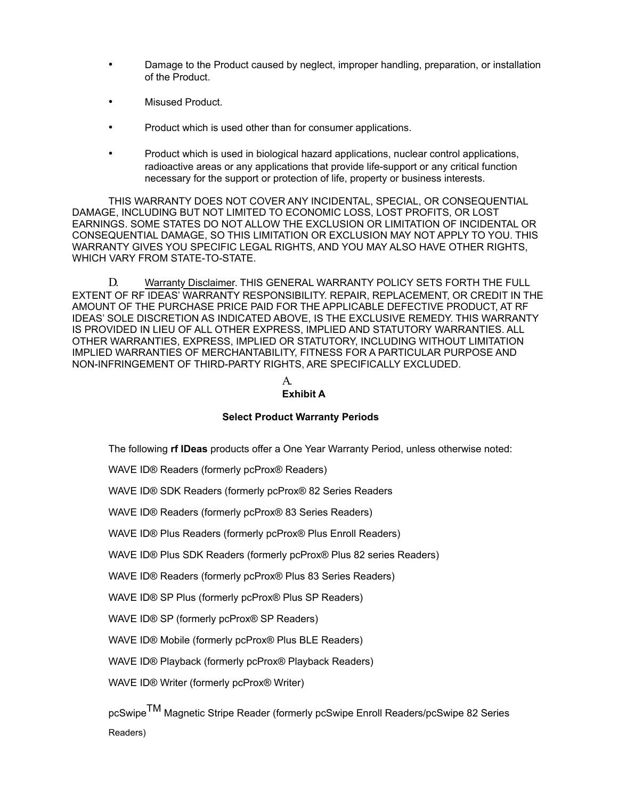- Damage to the Product caused by neglect, improper handling, preparation, or installation of the Product.
- Misused Product.
- Product which is used other than for consumer applications.
- Product which is used in biological hazard applications, nuclear control applications, radioactive areas or any applications that provide life-support or any critical function necessary for the support or protection of life, property or business interests.

THIS WARRANTY DOES NOT COVER ANY INCIDENTAL, SPECIAL, OR CONSEQUENTIAL DAMAGE, INCLUDING BUT NOT LIMITED TO ECONOMIC LOSS, LOST PROFITS, OR LOST EARNINGS. SOME STATES DO NOT ALLOW THE EXCLUSION OR LIMITATION OF INCIDENTAL OR CONSEQUENTIAL DAMAGE, SO THIS LIMITATION OR EXCLUSION MAY NOT APPLY TO YOU. THIS WARRANTY GIVES YOU SPECIFIC LEGAL RIGHTS, AND YOU MAY ALSO HAVE OTHER RIGHTS, WHICH VARY FROM STATE-TO-STATE.

D. Warranty Disclaimer. THIS GENERAL WARRANTY POLICY SETS FORTH THE FULL EXTENT OF RF IDEAS' WARRANTY RESPONSIBILITY. REPAIR, REPLACEMENT, OR CREDIT IN THE AMOUNT OF THE PURCHASE PRICE PAID FOR THE APPLICABLE DEFECTIVE PRODUCT, AT RF IDEAS' SOLE DISCRETION AS INDICATED ABOVE, IS THE EXCLUSIVE REMEDY. THIS WARRANTY IS PROVIDED IN LIEU OF ALL OTHER EXPRESS, IMPLIED AND STATUTORY WARRANTIES. ALL OTHER WARRANTIES, EXPRESS, IMPLIED OR STATUTORY, INCLUDING WITHOUT LIMITATION IMPLIED WARRANTIES OF MERCHANTABILITY, FITNESS FOR A PARTICULAR PURPOSE AND NON-INFRINGEMENT OF THIRD-PARTY RIGHTS, ARE SPECIFICALLY EXCLUDED.

# A.

# **Exhibit A**

# **Select Product Warranty Periods**

The following **rf IDeas** products offer a One Year Warranty Period, unless otherwise noted:

WAVE ID® Readers (formerly pcProx® Readers)

WAVE ID® SDK Readers (formerly pcProx® 82 Series Readers

WAVE ID® Readers (formerly pcProx® 83 Series Readers)

WAVE ID® Plus Readers (formerly pcProx® Plus Enroll Readers)

WAVE ID® Plus SDK Readers (formerly pcProx® Plus 82 series Readers)

WAVE ID® Readers (formerly pcProx® Plus 83 Series Readers)

WAVE ID® SP Plus (formerly pcProx® Plus SP Readers)

WAVE ID® SP (formerly pcProx® SP Readers)

WAVE ID® Mobile (formerly pcProx® Plus BLE Readers)

WAVE ID® Playback (formerly pcProx® Playback Readers)

WAVE ID® Writer (formerly pcProx® Writer)

pcSwipe<sup>TM</sup> Magnetic Stripe Reader (formerly pcSwipe Enroll Readers/pcSwipe 82 Series Readers)